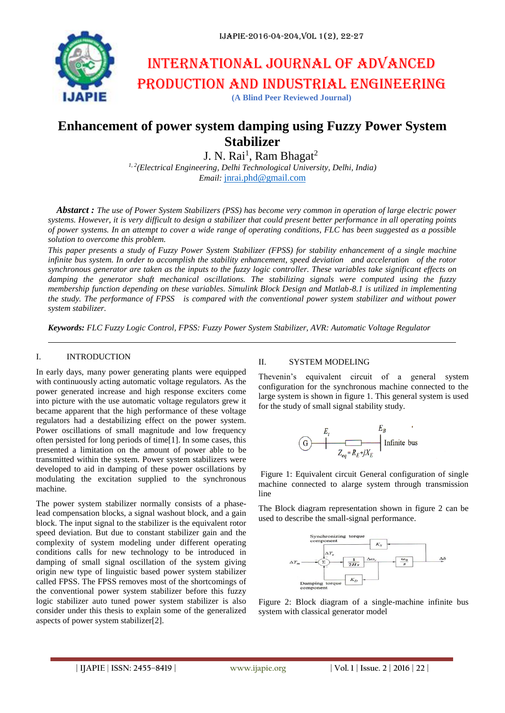

# International journal of advanced production and industrial engineering

**(A Blind Peer Reviewed Journal)**

# **Enhancement of power system damping using Fuzzy Power System Stabilizer**

J. N. Rai<sup>1</sup>, Ram Bhagat<sup>2</sup>

*1, 2(Electrical Engineering, Delhi Technological University, Delhi, India) Email:* [jnrai.phd@gmail.com](mailto:jnrai.phd@gmail.com)

*Abstarct : The use of Power System Stabilizers (PSS) has become very common in operation of large electric power systems. However, it is very difficult to design a stabilizer that could present better performance in all operating points of power systems. In an attempt to cover a wide range of operating conditions, FLC has been suggested as a possible solution to overcome this problem.*

*This paper presents a study of Fuzzy Power System Stabilizer (FPSS) for stability enhancement of a single machine infinite bus system. In order to accomplish the stability enhancement, speed deviation and acceleration of the rotor synchronous generator are taken as the inputs to the fuzzy logic controller. These variables take significant effects on damping the generator shaft mechanical oscillations. The stabilizing signals were computed using the fuzzy membership function depending on these variables. Simulink Block Design and Matlab-8.1 is utilized in implementing the study. The performance of FPSS is compared with the conventional power system stabilizer and without power system stabilizer.*

*Keywords: FLC Fuzzy Logic Control, FPSS: Fuzzy Power System Stabilizer, AVR: Automatic Voltage Regulator*

## I. INTRODUCTION

In early days, many power generating plants were equipped with continuously acting automatic voltage regulators. As the power generated increase and high response exciters come into picture with the use automatic voltage regulators grew it became apparent that the high performance of these voltage regulators had a destabilizing effect on the power system. Power oscillations of small magnitude and low frequency often persisted for long periods of time[1]. In some cases, this presented a limitation on the amount of power able to be transmitted within the system. Power system stabilizers were developed to aid in damping of these power oscillations by modulating the excitation supplied to the synchronous machine.

The power system stabilizer normally consists of a phaselead compensation blocks, a signal washout block, and a gain block. The input signal to the stabilizer is the equivalent rotor speed deviation. But due to constant stabilizer gain and the complexity of system modeling under different operating conditions calls for new technology to be introduced in damping of small signal oscillation of the system giving origin new type of linguistic based power system stabilizer called FPSS. The FPSS removes most of the shortcomings of the conventional power system stabilizer before this fuzzy logic stabilizer auto tuned power system stabilizer is also consider under this thesis to explain some of the generalized aspects of power system stabilizer[2].

#### II. SYSTEM MODELING

Thevenin's equivalent circuit of a general system configuration for the synchronous machine connected to the large system is shown in figure 1. This general system is used for the study of small signal stability study.

$$
\begin{array}{c|c}\n & E_B \\
\hline\nG & \xrightarrow{\hspace{1cm}} & E_B \\
 & \xrightarrow{\hspace{1cm}} & E_B \\
 & \xrightarrow{\hspace{1cm}} & E_B \\
 & \xrightarrow{\hspace{1cm}} & \text{Infinite bus}\n\end{array}
$$

Figure 1: Equivalent circuit General configuration of single machine connected to alarge system through transmission line

The Block diagram representation shown in figure 2 can be used to describe the small-signal performance.



Figure 2: Block diagram of a single-machine infinite bus system with classical generator model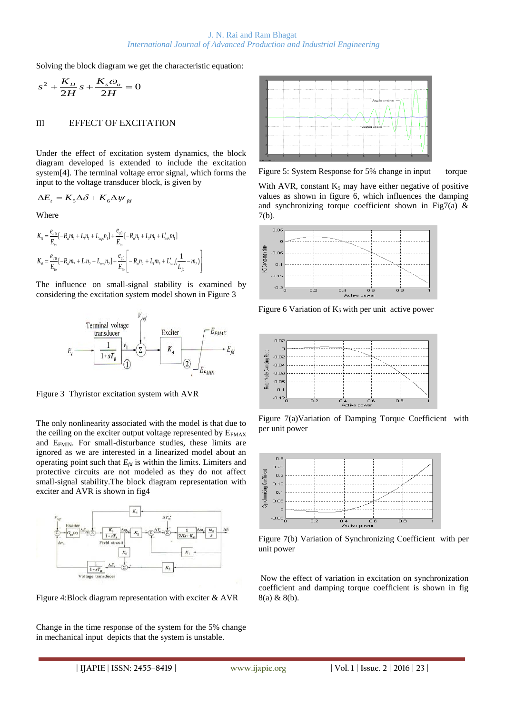Solving the block diagram we get the characteristic equation:

$$
s^2 + \frac{K_D}{2H} s + \frac{K_s \omega_o}{2H} = 0
$$

#### III EFFECT OF EXCITATION

Under the effect of excitation system dynamics, the block diagram developed is extended to include the excitation system[4]. The terminal voltage error signal, which forms the input to the voltage transducer block, is given by

$$
\Delta E_t = K_5 \Delta \delta + K_6 \Delta \psi_{fd}
$$

Where

$$
\begin{split} K_5 &= \frac{e_{d0}}{E_{to}}[-R_a m_1 + L_l n_1 + L_{aqs} n_1] + \frac{e_{q0}}{E_{to}}[-R_a n_1 + L_l m_1 + L_{ads}' m_1] \\ K_6 &= \frac{e_{d0}}{E_{to}}[-R_a m_2 + L_l n_2 + L_{aqs} n_2] + \frac{e_{q0}}{E_{to}}\Bigg[-R_a n_2 + L_l m_2 + L_{ads}' (\frac{1}{L_{jd}} - m_2)\Bigg] \end{split}
$$

The influence on small-signal stability is examined by considering the excitation system model shown in Figure 3



Figure 3 Thyristor excitation system with AVR

The only nonlinearity associated with the model is that due to the ceiling on the exciter output voltage represented by  $E_{FMAX}$ and EFMIN. For small-disturbance studies, these limits are ignored as we are interested in a linearized model about an operating point such that  $E_{fd}$  is within the limits. Limiters and protective circuits are not modeled as they do not affect small-signal stability.The block diagram representation with exciter and AVR is shown in fig4



Figure 4:Block diagram representation with exciter & AVR

Change in the time response of the system for the 5% change in mechanical input depicts that the system is unstable.



Figure 5: System Response for 5% change in input torque

With AVR, constant  $K_5$  may have either negative of positive values as shown in figure 6, which influences the damping and synchronizing torque coefficient shown in Fig7(a)  $\&$ 7(b).



Figure 6 Variation of  $K_5$  with per unit active power



Figure 7(a)Variation of Damping Torque Coefficient with per unit power



Figure 7(b) Variation of Synchronizing Coefficient with per unit power

Now the effect of variation in excitation on synchronization coefficient and damping torque coefficient is shown in fig 8(a) & 8(b).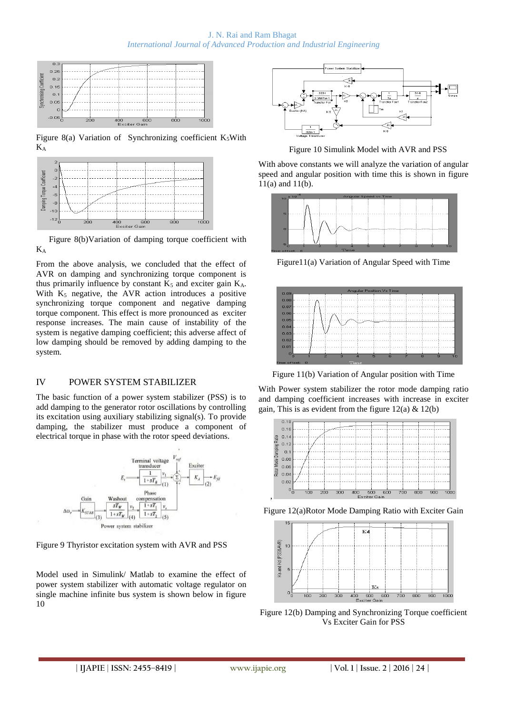J. N. Rai and Ram Bhagat *International Journal of Advanced Production and Industrial Engineering*



Figure 8(a) Variation of Synchronizing coefficient  $K_5W$ ith K<sup>A</sup>



Figure 8(b)Variation of damping torque coefficient with K<sup>A</sup>

From the above analysis, we concluded that the effect of AVR on damping and synchronizing torque component is thus primarily influence by constant  $K_5$  and exciter gain  $K_A$ . With  $K_5$  negative, the AVR action introduces a positive synchronizing torque component and negative damping torque component. This effect is more pronounced as exciter response increases. The main cause of instability of the system is negative damping coefficient; this adverse affect of low damping should be removed by adding damping to the system.

# IV POWER SYSTEM STABILIZER

The basic function of a power system stabilizer (PSS) is to add damping to the generator rotor oscillations by controlling its excitation using auxiliary stabilizing signal(s). To provide damping, the stabilizer must produce a component of electrical torque in phase with the rotor speed deviations.



Figure 9 Thyristor excitation system with AVR and PSS

Model used in Simulink/ Matlab to examine the effect of power system stabilizer with automatic voltage regulator on single machine infinite bus system is shown below in figure 10



Figure 10 Simulink Model with AVR and PSS

With above constants we will analyze the variation of angular speed and angular position with time this is shown in figure 11(a) and 11(b).



Figure11(a) Variation of Angular Speed with Time



Figure 11(b) Variation of Angular position with Time

With Power system stabilizer the rotor mode damping ratio and damping coefficient increases with increase in exciter gain, This is as evident from the figure  $12(a) \& 12(b)$ 



Figure 12(a)Rotor Mode Damping Ratio with Exciter Gain



Figure 12(b) Damping and Synchronizing Torque coefficient Vs Exciter Gain for PSS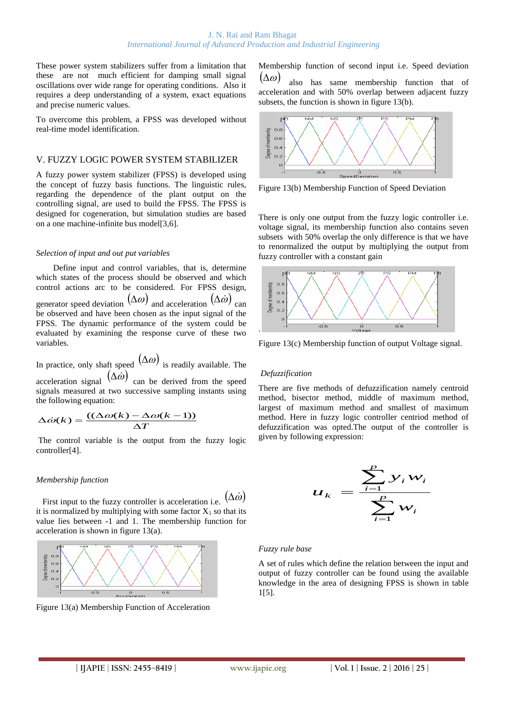These power system stabilizers suffer from a limitation that these are not much efficient for damping small signal oscillations over wide range for operating conditions. Also it requires a deep understanding of a system, exact equations and precise numeric values.

To overcome this problem, a FPSS was developed without real-time model identification.

## V. FUZZY LOGIC POWER SYSTEM STABILIZER

A fuzzy power system stabilizer (FPSS) is developed using the concept of fuzzy basis functions. The linguistic rules, regarding the dependence of the plant output on the controlling signal, are used to build the FPSS. The FPSS is designed for cogeneration, but simulation studies are based on a one machine-infinite bus model[3,6].

#### *Selection of input and out put variables*

Define input and control variables, that is, determine which states of the process should be observed and which control actions arc to be considered. For FPSS design, generator speed deviation  $(\Delta \omega)$  and acceleration  $(\Delta \dot{\omega})$  can be observed and have been chosen as the input signal of the FPSS. The dynamic performance of the system could be evaluated by examining the response curve of these two variables.

In practice, only shaft speed  $(\Delta \omega)$  is readily available. The acceleration signal  $(\Delta \dot{\omega})$  can be derived from the speed signals measured at two successive sampling instants using the following equation:

$$
\Delta \dot{\omega}(k) = \frac{((\Delta \omega(k) - \Delta \omega(k-1))}{\Delta T}
$$

The control variable is the output from the fuzzy logic controller[4].

#### *Membership function*

First input to the fuzzy controller is acceleration i.e.  $(\Delta \dot{\omega}$  $\dot{\textit{v}})$ it is normalized by multiplying with some factor  $X_1$  so that its value lies between -1 and 1. The membership function for acceleration is shown in figure 13(a).



Figure 13(a) Membership Function of Acceleration

Membership function of second input i.e. Speed deviation  $(\Delta \omega)$ 

also has same membership function that of acceleration and with 50% overlap between adjacent fuzzy subsets, the function is shown in figure 13(b).



Figure 13(b) Membership Function of Speed Deviation

There is only one output from the fuzzy logic controller i.e. voltage signal, its membership function also contains seven subsets with 50% overlap the only difference is that we have to renormalized the output by multiplying the output from fuzzy controller with a constant gain



Figure 13(c) Membership function of output Voltage signal.

# *Defuzzification*

There are five methods of defuzzification namely centroid method, bisector method, middle of maximum method, largest of maximum method and smallest of maximum method. Here in fuzzy logic controller centriod method of defuzzification was opted.The output of the controller is given by following expression:

$$
u_k = \frac{\sum_{i=1}^p y_i w_i}{\sum_{i=1}^p w_i}
$$

#### *Fuzzy rule base*

A set of rules which define the relation between the input and output of fuzzy controller can be found using the available knowledge in the area of designing FPSS is shown in table 1[5].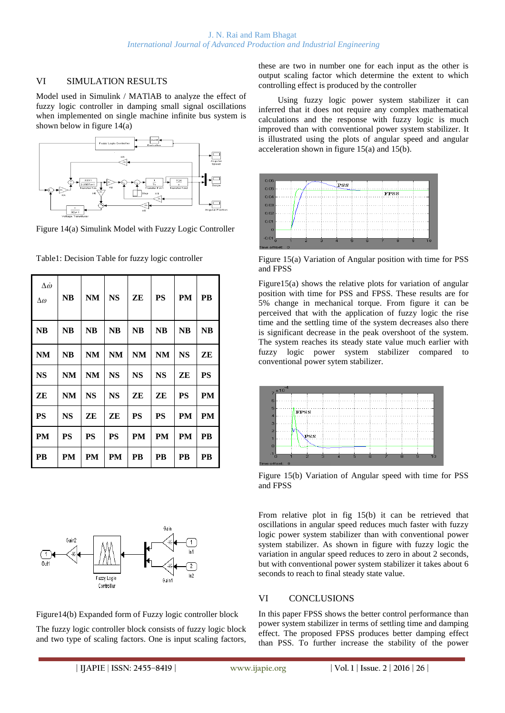# VI SIMULATION RESULTS

Model used in Simulink / MATlAB to analyze the effect of fuzzy logic controller in damping small signal oscillations when implemented on single machine infinite bus system is shown below in figure 14(a)



Figure 14(a) Simulink Model with Fuzzy Logic Controller

| $\Delta\dot{\omega}$<br>Δω | <b>NB</b> | NM        | <b>NS</b> | ZE        | <b>PS</b> | PM        | PB        |
|----------------------------|-----------|-----------|-----------|-----------|-----------|-----------|-----------|
| <b>NB</b>                  | <b>NB</b> | <b>NB</b> | <b>NB</b> | <b>NB</b> | <b>NB</b> | <b>NB</b> | <b>NB</b> |
| NM                         | NB        | NM        | <b>NM</b> | NM        | NM        | <b>NS</b> | ZE        |
| NS                         | NM        | NM        | <b>NS</b> | <b>NS</b> | <b>NS</b> | ZE        | PS        |
| ZE                         | NM        | <b>NS</b> | <b>NS</b> | ZE        | ZE        | <b>PS</b> | PM        |
| <b>PS</b>                  | NS        | ZE        | ZE        | <b>PS</b> | <b>PS</b> | PМ        | PМ        |
| <b>PM</b>                  | <b>PS</b> | <b>PS</b> | PS        | <b>PM</b> | <b>PM</b> | PМ        | PВ        |
| <b>PB</b>                  | PМ        | PМ        | PМ        | PB        | PB        | PВ        | PВ        |

Table1: Decision Table for fuzzy logic controller



Figure14(b) Expanded form of Fuzzy logic controller block

The fuzzy logic controller block consists of fuzzy logic block and two type of scaling factors. One is input scaling factors, these are two in number one for each input as the other is output scaling factor which determine the extent to which controlling effect is produced by the controller

Using fuzzy logic power system stabilizer it can inferred that it does not require any complex mathematical calculations and the response with fuzzy logic is much improved than with conventional power system stabilizer. It is illustrated using the plots of angular speed and angular acceleration shown in figure 15(a) and 15(b).



Figure 15(a) Variation of Angular position with time for PSS and FPSS

Figure15(a) shows the relative plots for variation of angular position with time for PSS and FPSS. These results are for 5% change in mechanical torque. From figure it can be perceived that with the application of fuzzy logic the rise time and the settling time of the system decreases also there is significant decrease in the peak overshoot of the system. The system reaches its steady state value much earlier with fuzzy logic power system stabilizer compared to conventional power sytem stabilizer.



Figure 15(b) Variation of Angular speed with time for PSS and FPSS

From relative plot in fig 15(b) it can be retrieved that oscillations in angular speed reduces much faster with fuzzy logic power system stabilizer than with conventional power system stabilizer. As shown in figure with fuzzy logic the variation in angular speed reduces to zero in about 2 seconds, but with conventional power system stabilizer it takes about 6 seconds to reach to final steady state value.

# VI CONCLUSIONS

In this paper FPSS shows the better control performance than power system stabilizer in terms of settling time and damping effect. The proposed FPSS produces better damping effect than PSS. To further increase the stability of the power